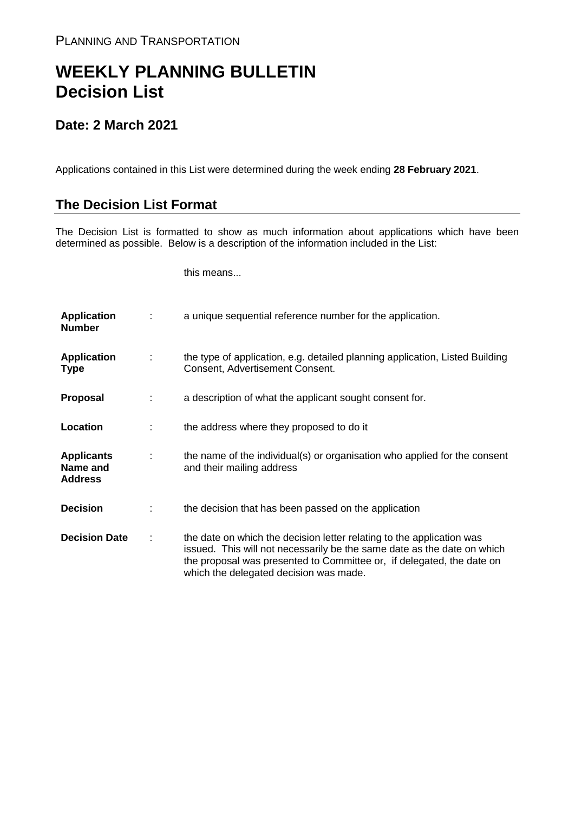## **WEEKLY PLANNING BULLETIN Decision List**

## **Date: 2 March 2021**

Applications contained in this List were determined during the week ending **28 February 2021**.

## **The Decision List Format**

The Decision List is formatted to show as much information about applications which have been determined as possible. Below is a description of the information included in the List:

this means...

| <b>Application</b><br><b>Number</b>             |   | a unique sequential reference number for the application.                                                                                                                                                                                                           |
|-------------------------------------------------|---|---------------------------------------------------------------------------------------------------------------------------------------------------------------------------------------------------------------------------------------------------------------------|
| <b>Application</b><br><b>Type</b>               | ÷ | the type of application, e.g. detailed planning application, Listed Building<br>Consent, Advertisement Consent.                                                                                                                                                     |
| Proposal                                        |   | a description of what the applicant sought consent for.                                                                                                                                                                                                             |
| Location                                        |   | the address where they proposed to do it                                                                                                                                                                                                                            |
| <b>Applicants</b><br>Name and<br><b>Address</b> | ÷ | the name of the individual(s) or organisation who applied for the consent<br>and their mailing address                                                                                                                                                              |
| <b>Decision</b>                                 |   | the decision that has been passed on the application                                                                                                                                                                                                                |
| <b>Decision Date</b>                            | ÷ | the date on which the decision letter relating to the application was<br>issued. This will not necessarily be the same date as the date on which<br>the proposal was presented to Committee or, if delegated, the date on<br>which the delegated decision was made. |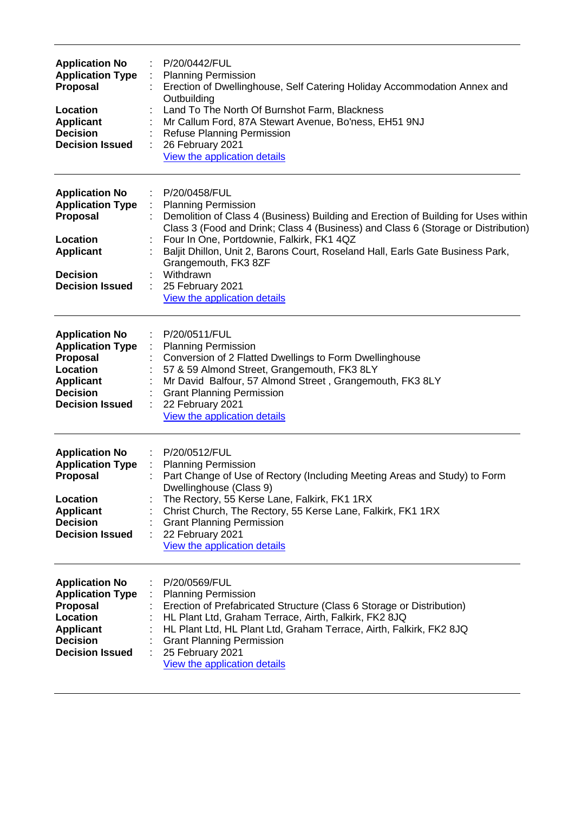| <b>Application No</b><br><b>Application Type</b><br><b>Proposal</b><br>Location<br><b>Applicant</b><br><b>Decision</b><br><b>Decision Issued</b> | P/20/0442/FUL<br><b>Planning Permission</b><br>Erection of Dwellinghouse, Self Catering Holiday Accommodation Annex and<br>Outbuilding<br>Land To The North Of Burnshot Farm, Blackness<br>Mr Callum Ford, 87A Stewart Avenue, Bo'ness, EH51 9NJ<br><b>Refuse Planning Permission</b><br>26 February 2021<br>View the application details                                                                                                      |
|--------------------------------------------------------------------------------------------------------------------------------------------------|------------------------------------------------------------------------------------------------------------------------------------------------------------------------------------------------------------------------------------------------------------------------------------------------------------------------------------------------------------------------------------------------------------------------------------------------|
| <b>Application No</b><br><b>Application Type</b><br><b>Proposal</b><br>Location<br><b>Applicant</b><br><b>Decision</b><br><b>Decision Issued</b> | P/20/0458/FUL<br><b>Planning Permission</b><br>Demolition of Class 4 (Business) Building and Erection of Building for Uses within<br>Class 3 (Food and Drink; Class 4 (Business) and Class 6 (Storage or Distribution)<br>Four In One, Portdownie, Falkirk, FK1 4QZ<br>Baljit Dhillon, Unit 2, Barons Court, Roseland Hall, Earls Gate Business Park,<br>Grangemouth, FK3 8ZF<br>Withdrawn<br>25 February 2021<br>View the application details |
| <b>Application No</b><br><b>Application Type</b><br><b>Proposal</b><br>Location<br><b>Applicant</b><br><b>Decision</b><br><b>Decision Issued</b> | P/20/0511/FUL<br><b>Planning Permission</b><br>Conversion of 2 Flatted Dwellings to Form Dwellinghouse<br>57 & 59 Almond Street, Grangemouth, FK3 8LY<br>Mr David Balfour, 57 Almond Street, Grangemouth, FK3 8LY<br><b>Grant Planning Permission</b><br>22 February 2021<br>View the application details                                                                                                                                      |
| <b>Application No</b><br><b>Application Type</b><br>Proposal<br>Location<br><b>Applicant</b><br><b>Decision</b><br><b>Decision Issued</b>        | P/20/0512/FUL<br><b>Planning Permission</b><br>Part Change of Use of Rectory (Including Meeting Areas and Study) to Form<br>Dwellinghouse (Class 9)<br>The Rectory, 55 Kerse Lane, Falkirk, FK1 1RX<br>Christ Church, The Rectory, 55 Kerse Lane, Falkirk, FK1 1RX<br><b>Grant Planning Permission</b><br>22 February 2021<br>View the application details                                                                                     |
| <b>Application No</b><br><b>Application Type</b><br>Proposal<br><b>Location</b><br><b>Applicant</b><br><b>Decision</b><br><b>Decision Issued</b> | P/20/0569/FUL<br><b>Planning Permission</b><br>Erection of Prefabricated Structure (Class 6 Storage or Distribution)<br>HL Plant Ltd, Graham Terrace, Airth, Falkirk, FK2 8JQ<br>HL Plant Ltd, HL Plant Ltd, Graham Terrace, Airth, Falkirk, FK2 8JQ<br><b>Grant Planning Permission</b><br>25 February 2021<br>View the application details                                                                                                   |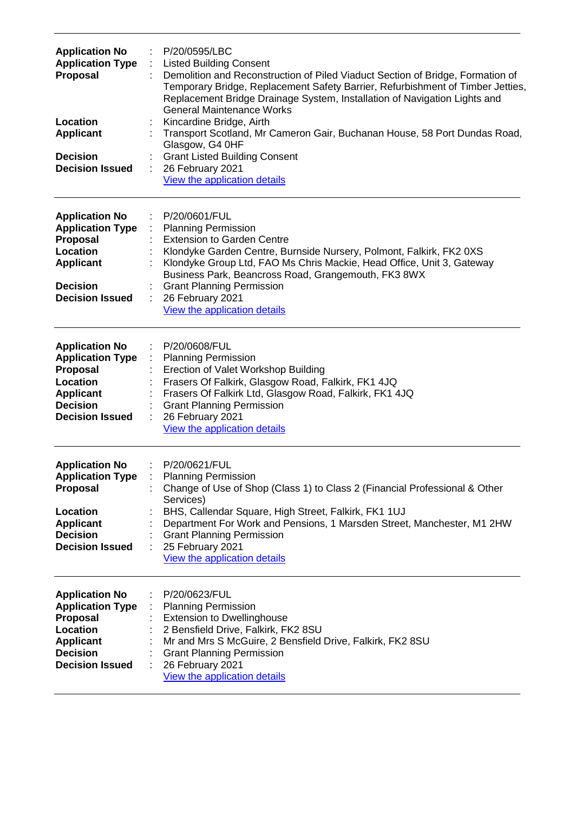| <b>Application No</b><br><b>Application Type</b><br>Proposal<br>Location<br><b>Applicant</b><br><b>Decision</b><br><b>Decision Issued</b>        | P/20/0595/LBC<br><b>Listed Building Consent</b><br>Demolition and Reconstruction of Piled Viaduct Section of Bridge, Formation of<br>Temporary Bridge, Replacement Safety Barrier, Refurbishment of Timber Jetties,<br>Replacement Bridge Drainage System, Installation of Navigation Lights and<br><b>General Maintenance Works</b><br>Kincardine Bridge, Airth<br>Transport Scotland, Mr Cameron Gair, Buchanan House, 58 Port Dundas Road,<br>Glasgow, G4 0HF<br><b>Grant Listed Building Consent</b><br>26 February 2021<br>View the application details |
|--------------------------------------------------------------------------------------------------------------------------------------------------|--------------------------------------------------------------------------------------------------------------------------------------------------------------------------------------------------------------------------------------------------------------------------------------------------------------------------------------------------------------------------------------------------------------------------------------------------------------------------------------------------------------------------------------------------------------|
| <b>Application No</b><br><b>Application Type</b><br>Proposal<br>Location<br><b>Applicant</b><br><b>Decision</b><br><b>Decision Issued</b>        | P/20/0601/FUL<br><b>Planning Permission</b><br><b>Extension to Garden Centre</b><br>Klondyke Garden Centre, Burnside Nursery, Polmont, Falkirk, FK2 0XS<br>Klondyke Group Ltd, FAO Ms Chris Mackie, Head Office, Unit 3, Gateway<br>Business Park, Beancross Road, Grangemouth, FK3 8WX<br><b>Grant Planning Permission</b><br>26 February 2021<br>View the application details                                                                                                                                                                              |
| <b>Application No</b><br><b>Application Type</b><br><b>Proposal</b><br>Location<br><b>Applicant</b><br><b>Decision</b><br><b>Decision Issued</b> | P/20/0608/FUL<br><b>Planning Permission</b><br>Erection of Valet Workshop Building<br>Frasers Of Falkirk, Glasgow Road, Falkirk, FK1 4JQ<br>Frasers Of Falkirk Ltd, Glasgow Road, Falkirk, FK1 4JQ<br><b>Grant Planning Permission</b><br>26 February 2021<br>View the application details                                                                                                                                                                                                                                                                   |
| <b>Application No</b><br><b>Proposal</b><br>Location<br><b>Applicant</b><br><b>Decision</b><br><b>Decision Issued</b>                            | : P/20/0621/FUL<br><b>Application Type : Planning Permission</b><br>Change of Use of Shop (Class 1) to Class 2 (Financial Professional & Other<br>Services)<br>BHS, Callendar Square, High Street, Falkirk, FK1 1UJ<br>Department For Work and Pensions, 1 Marsden Street, Manchester, M1 2HW<br><b>Grant Planning Permission</b><br>25 February 2021<br>View the application details                                                                                                                                                                        |
| <b>Application No</b><br><b>Application Type</b><br><b>Proposal</b><br>Location<br><b>Applicant</b><br><b>Decision</b><br><b>Decision Issued</b> | P/20/0623/FUL<br><b>Planning Permission</b><br><b>Extension to Dwellinghouse</b><br>2 Bensfield Drive, Falkirk, FK2 8SU<br>Mr and Mrs S McGuire, 2 Bensfield Drive, Falkirk, FK2 8SU<br><b>Grant Planning Permission</b><br>26 February 2021<br>View the application details                                                                                                                                                                                                                                                                                 |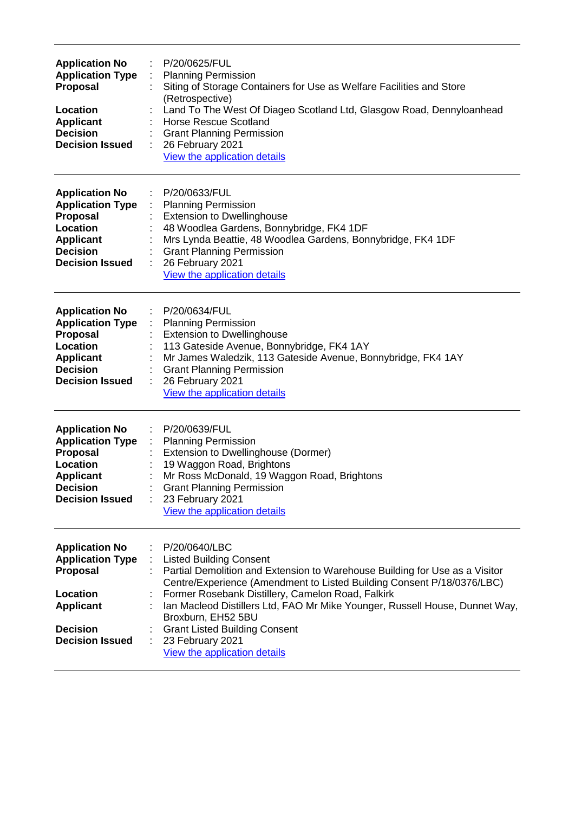| <b>Application No</b><br><b>Application Type</b><br><b>Proposal</b><br>Location<br><b>Applicant</b><br><b>Decision</b><br><b>Decision Issued</b> | P/20/0625/FUL<br>÷<br><b>Planning Permission</b><br>Siting of Storage Containers for Use as Welfare Facilities and Store<br>(Retrospective)<br>Land To The West Of Diageo Scotland Ltd, Glasgow Road, Dennyloanhead<br><b>Horse Rescue Scotland</b><br><b>Grant Planning Permission</b><br>26 February 2021<br>View the application details                                                                                                                    |
|--------------------------------------------------------------------------------------------------------------------------------------------------|----------------------------------------------------------------------------------------------------------------------------------------------------------------------------------------------------------------------------------------------------------------------------------------------------------------------------------------------------------------------------------------------------------------------------------------------------------------|
| <b>Application No</b><br><b>Application Type</b><br>Proposal<br>Location<br><b>Applicant</b><br><b>Decision</b><br><b>Decision Issued</b>        | P/20/0633/FUL<br><b>Planning Permission</b><br><b>Extension to Dwellinghouse</b><br>48 Woodlea Gardens, Bonnybridge, FK4 1DF<br>Mrs Lynda Beattie, 48 Woodlea Gardens, Bonnybridge, FK4 1DF<br><b>Grant Planning Permission</b><br>26 February 2021<br>View the application details                                                                                                                                                                            |
| <b>Application No</b><br><b>Application Type</b><br><b>Proposal</b><br>Location<br><b>Applicant</b><br><b>Decision</b><br><b>Decision Issued</b> | P/20/0634/FUL<br><b>Planning Permission</b><br><b>Extension to Dwellinghouse</b><br>113 Gateside Avenue, Bonnybridge, FK4 1AY<br>Mr James Waledzik, 113 Gateside Avenue, Bonnybridge, FK4 1AY<br><b>Grant Planning Permission</b><br>26 February 2021<br>View the application details                                                                                                                                                                          |
| <b>Application No</b><br><b>Application Type</b><br>Proposal<br>Location<br><b>Applicant</b><br><b>Decision</b><br><b>Decision Issued</b>        | P/20/0639/FUL<br><b>Planning Permission</b><br>Extension to Dwellinghouse (Dormer)<br>19 Waggon Road, Brightons<br>Mr Ross McDonald, 19 Waggon Road, Brightons<br><b>Grant Planning Permission</b><br>23 February 2021<br>View the application details                                                                                                                                                                                                         |
| <b>Application No</b><br><b>Application Type</b><br><b>Proposal</b><br>Location<br><b>Applicant</b><br><b>Decision</b><br><b>Decision Issued</b> | P/20/0640/LBC<br><b>Listed Building Consent</b><br>Partial Demolition and Extension to Warehouse Building for Use as a Visitor<br>Centre/Experience (Amendment to Listed Building Consent P/18/0376/LBC)<br>Former Rosebank Distillery, Camelon Road, Falkirk<br>Ian Macleod Distillers Ltd, FAO Mr Mike Younger, Russell House, Dunnet Way,<br>Broxburn, EH52 5BU<br><b>Grant Listed Building Consent</b><br>23 February 2021<br>View the application details |